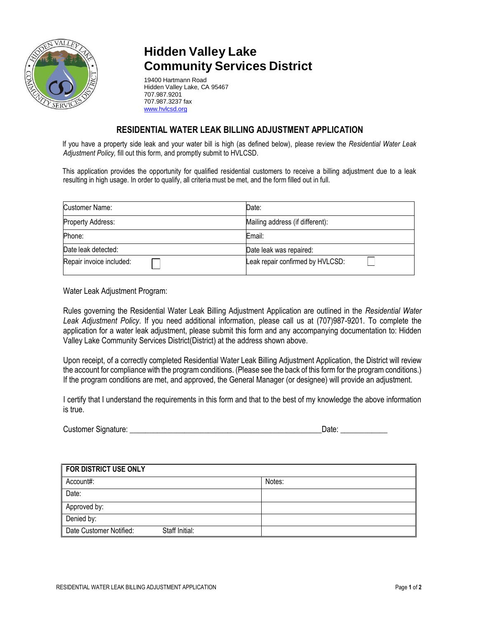

## **Hidden Valley Lake Community Services District**

19400 Hartmann Road Hidden Valley Lake, CA 95467 707.987.9201 707.987.3237 fax [www.hvlcsd.org](http://www.hvlcsd.org/)

## **RESIDENTIAL WATER LEAK BILLING ADJUSTMENT APPLICATION**

If you have a property side leak and your water bill is high (as defined below), please review the *Residential Water Leak Adjustment Policy,* fill out this form, and promptly submit to HVLCSD.

This application provides the opportunity for qualified residential customers to receive a billing adjustment due to a leak resulting in high usage. In order to qualify, all criteria must be met, and the form filled out in full.

| Customer Name:           | Date:                            |
|--------------------------|----------------------------------|
| Property Address:        | Mailing address (if different):  |
| Phone:                   | Email:                           |
| Date leak detected:      | Date leak was repaired:          |
| Repair invoice included: | Leak repair confirmed by HVLCSD: |

Water Leak Adjustment Program:

Rules governing the Residential Water Leak Billing Adjustment Application are outlined in the *Residential Water Leak Adjustment Policy*. If you need additional information, please call us at (707)987-9201. To complete the application for a water leak adjustment, please submit this form and any accompanying documentation to: Hidden Valley Lake Community Services District(District) at the address shown above.

Upon receipt, of a correctly completed Residential Water Leak Billing Adjustment Application, the District will review the account for compliance with the program conditions. (Please see the back of this form for the program conditions.) If the program conditions are met, and approved, the General Manager (or designee) will provide an adjustment.

I certify that I understand the requirements in this form and that to the best of my knowledge the above information is true.

| <b>Customer Signature:</b> | Date: |
|----------------------------|-------|
|----------------------------|-------|

| <b>FOR DISTRICT USE ONLY</b>              |        |  |
|-------------------------------------------|--------|--|
| Account#:                                 | Notes: |  |
| Date:                                     |        |  |
| Approved by:                              |        |  |
| Denied by:                                |        |  |
| Date Customer Notified:<br>Staff Initial: |        |  |